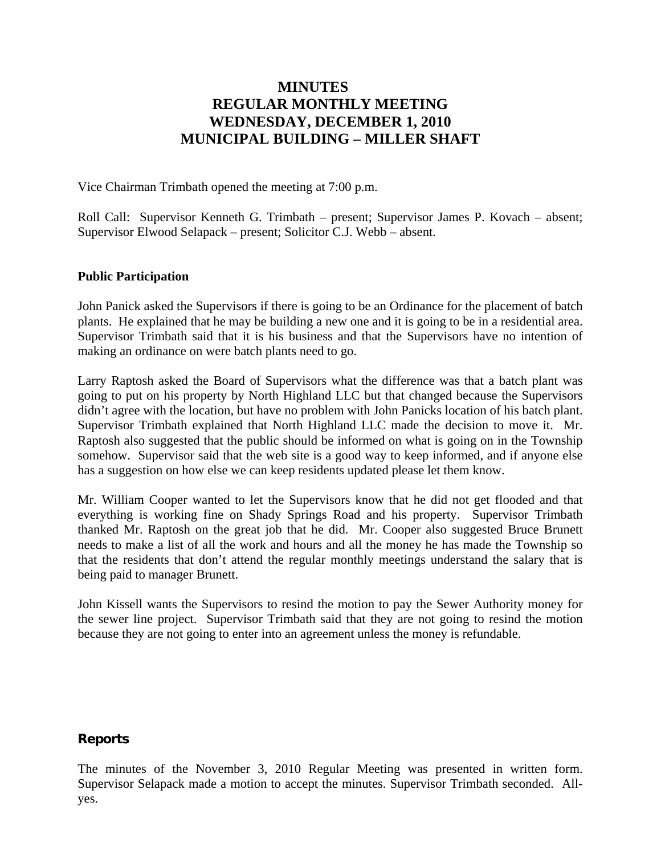# **MINUTES REGULAR MONTHLY MEETING WEDNESDAY, DECEMBER 1, 2010 MUNICIPAL BUILDING – MILLER SHAFT**

Vice Chairman Trimbath opened the meeting at 7:00 p.m.

Roll Call: Supervisor Kenneth G. Trimbath – present; Supervisor James P. Kovach – absent; Supervisor Elwood Selapack – present; Solicitor C.J. Webb – absent.

#### **Public Participation**

John Panick asked the Supervisors if there is going to be an Ordinance for the placement of batch plants. He explained that he may be building a new one and it is going to be in a residential area. Supervisor Trimbath said that it is his business and that the Supervisors have no intention of making an ordinance on were batch plants need to go.

Larry Raptosh asked the Board of Supervisors what the difference was that a batch plant was going to put on his property by North Highland LLC but that changed because the Supervisors didn't agree with the location, but have no problem with John Panicks location of his batch plant. Supervisor Trimbath explained that North Highland LLC made the decision to move it. Mr. Raptosh also suggested that the public should be informed on what is going on in the Township somehow. Supervisor said that the web site is a good way to keep informed, and if anyone else has a suggestion on how else we can keep residents updated please let them know.

Mr. William Cooper wanted to let the Supervisors know that he did not get flooded and that everything is working fine on Shady Springs Road and his property. Supervisor Trimbath thanked Mr. Raptosh on the great job that he did. Mr. Cooper also suggested Bruce Brunett needs to make a list of all the work and hours and all the money he has made the Township so that the residents that don't attend the regular monthly meetings understand the salary that is being paid to manager Brunett.

John Kissell wants the Supervisors to resind the motion to pay the Sewer Authority money for the sewer line project. Supervisor Trimbath said that they are not going to resind the motion because they are not going to enter into an agreement unless the money is refundable.

#### **Reports**

The minutes of the November 3, 2010 Regular Meeting was presented in written form. Supervisor Selapack made a motion to accept the minutes. Supervisor Trimbath seconded. Allyes.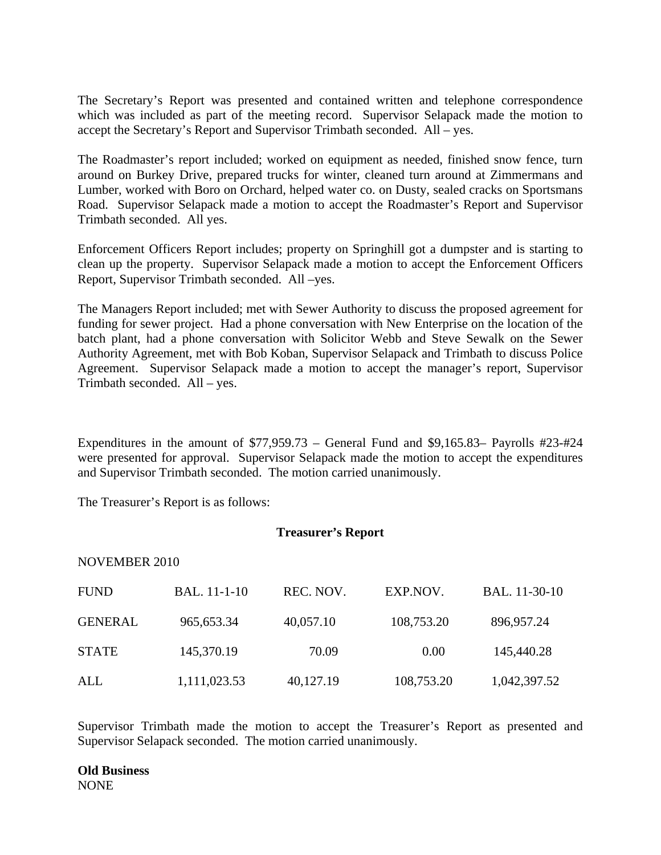The Secretary's Report was presented and contained written and telephone correspondence which was included as part of the meeting record. Supervisor Selapack made the motion to accept the Secretary's Report and Supervisor Trimbath seconded. All – yes.

The Roadmaster's report included; worked on equipment as needed, finished snow fence, turn around on Burkey Drive, prepared trucks for winter, cleaned turn around at Zimmermans and Lumber, worked with Boro on Orchard, helped water co. on Dusty, sealed cracks on Sportsmans Road. Supervisor Selapack made a motion to accept the Roadmaster's Report and Supervisor Trimbath seconded. All yes.

Enforcement Officers Report includes; property on Springhill got a dumpster and is starting to clean up the property. Supervisor Selapack made a motion to accept the Enforcement Officers Report, Supervisor Trimbath seconded. All –yes.

The Managers Report included; met with Sewer Authority to discuss the proposed agreement for funding for sewer project. Had a phone conversation with New Enterprise on the location of the batch plant, had a phone conversation with Solicitor Webb and Steve Sewalk on the Sewer Authority Agreement, met with Bob Koban, Supervisor Selapack and Trimbath to discuss Police Agreement. Supervisor Selapack made a motion to accept the manager's report, Supervisor Trimbath seconded. All – yes.

Expenditures in the amount of  $$77,959.73$  – General Fund and  $$9,165.83$ – Payrolls  $#23$ - $#24$ were presented for approval. Supervisor Selapack made the motion to accept the expenditures and Supervisor Trimbath seconded. The motion carried unanimously.

The Treasurer's Report is as follows:

#### **Treasurer's Report**

#### NOVEMBER 2010

| <b>FUND</b>    | <b>BAL.</b> 11-1-10 | REC. NOV. | EXP.NOV.   | BAL. 11-30-10 |
|----------------|---------------------|-----------|------------|---------------|
| <b>GENERAL</b> | 965, 653. 34        | 40,057.10 | 108,753.20 | 896,957.24    |
| <b>STATE</b>   | 145,370.19          | 70.09     | 0.00       | 145,440.28    |
| ALL            | 1,111,023.53        | 40,127.19 | 108,753.20 | 1,042,397.52  |

Supervisor Trimbath made the motion to accept the Treasurer's Report as presented and Supervisor Selapack seconded. The motion carried unanimously.

**Old Business**  NONE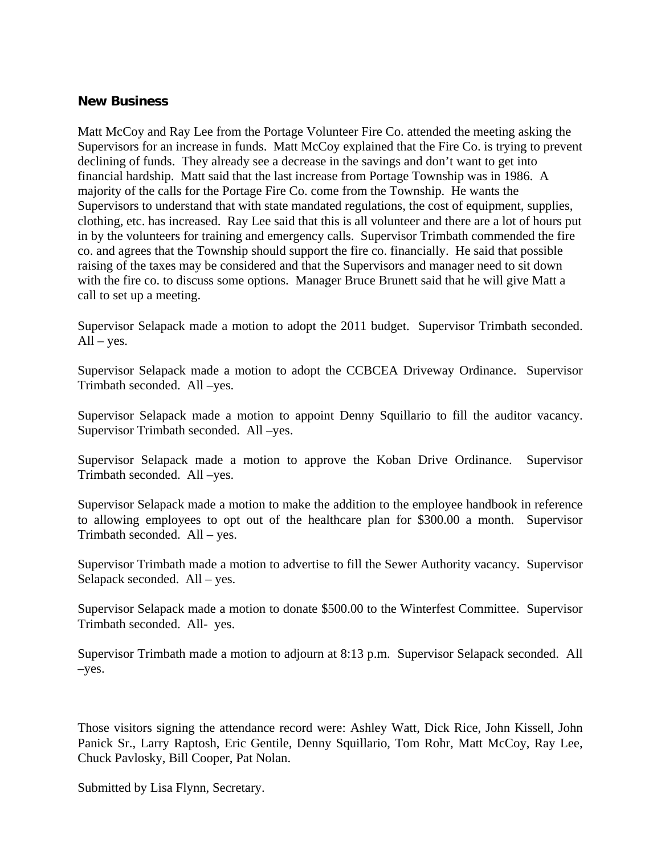### **New Business**

Matt McCoy and Ray Lee from the Portage Volunteer Fire Co. attended the meeting asking the Supervisors for an increase in funds. Matt McCoy explained that the Fire Co. is trying to prevent declining of funds. They already see a decrease in the savings and don't want to get into financial hardship. Matt said that the last increase from Portage Township was in 1986. A majority of the calls for the Portage Fire Co. come from the Township. He wants the Supervisors to understand that with state mandated regulations, the cost of equipment, supplies, clothing, etc. has increased. Ray Lee said that this is all volunteer and there are a lot of hours put in by the volunteers for training and emergency calls. Supervisor Trimbath commended the fire co. and agrees that the Township should support the fire co. financially. He said that possible raising of the taxes may be considered and that the Supervisors and manager need to sit down with the fire co. to discuss some options. Manager Bruce Brunett said that he will give Matt a call to set up a meeting.

Supervisor Selapack made a motion to adopt the 2011 budget. Supervisor Trimbath seconded.  $All - yes.$ 

Supervisor Selapack made a motion to adopt the CCBCEA Driveway Ordinance. Supervisor Trimbath seconded. All –yes.

Supervisor Selapack made a motion to appoint Denny Squillario to fill the auditor vacancy. Supervisor Trimbath seconded. All –yes.

Supervisor Selapack made a motion to approve the Koban Drive Ordinance. Supervisor Trimbath seconded. All –yes.

Supervisor Selapack made a motion to make the addition to the employee handbook in reference to allowing employees to opt out of the healthcare plan for \$300.00 a month. Supervisor Trimbath seconded. All – yes.

Supervisor Trimbath made a motion to advertise to fill the Sewer Authority vacancy. Supervisor Selapack seconded. All – yes.

Supervisor Selapack made a motion to donate \$500.00 to the Winterfest Committee. Supervisor Trimbath seconded. All- yes.

Supervisor Trimbath made a motion to adjourn at 8:13 p.m. Supervisor Selapack seconded. All –yes.

Those visitors signing the attendance record were: Ashley Watt, Dick Rice, John Kissell, John Panick Sr., Larry Raptosh, Eric Gentile, Denny Squillario, Tom Rohr, Matt McCoy, Ray Lee, Chuck Pavlosky, Bill Cooper, Pat Nolan.

Submitted by Lisa Flynn, Secretary.